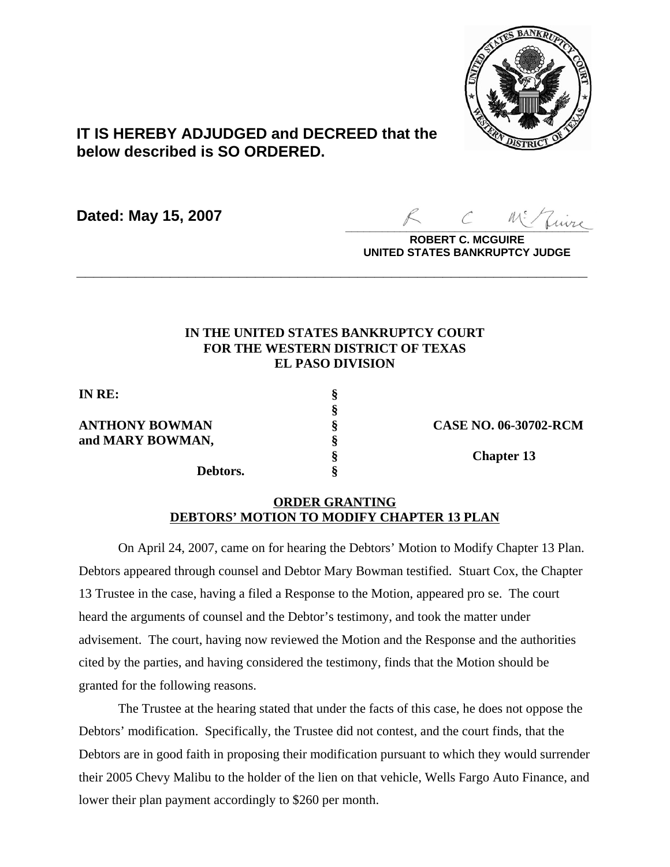

## **IT IS HEREBY ADJUDGED and DECREED that the below described is SO ORDERED.**

**Dated: May 15, 2007**

 $Z_{\mu\nu\tau\kappa}$ 

**ROBERT C. MCGUIRE UNITED STATES BANKRUPTCY JUDGE**

## **IN THE UNITED STATES BANKRUPTCY COURT FOR THE WESTERN DISTRICT OF TEXAS EL PASO DIVISION**

**\_\_\_\_\_\_\_\_\_\_\_\_\_\_\_\_\_\_\_\_\_\_\_\_\_\_\_\_\_\_\_\_\_\_\_\_\_\_\_\_\_\_\_\_\_\_\_\_\_\_\_\_\_\_\_\_\_\_\_\_**

**§**

**IN RE: §**

**ANTHONY BOWMAN § CASE NO. 06-30702-RCM and MARY BOWMAN, §**

**Debtors. §**

**§ Chapter 13**

## **ORDER GRANTING DEBTORS' MOTION TO MODIFY CHAPTER 13 PLAN**

On April 24, 2007, came on for hearing the Debtors' Motion to Modify Chapter 13 Plan. Debtors appeared through counsel and Debtor Mary Bowman testified. Stuart Cox, the Chapter 13 Trustee in the case, having a filed a Response to the Motion, appeared pro se. The court heard the arguments of counsel and the Debtor's testimony, and took the matter under advisement. The court, having now reviewed the Motion and the Response and the authorities cited by the parties, and having considered the testimony, finds that the Motion should be granted for the following reasons.

The Trustee at the hearing stated that under the facts of this case, he does not oppose the Debtors' modification. Specifically, the Trustee did not contest, and the court finds, that the Debtors are in good faith in proposing their modification pursuant to which they would surrender their 2005 Chevy Malibu to the holder of the lien on that vehicle, Wells Fargo Auto Finance, and lower their plan payment accordingly to \$260 per month.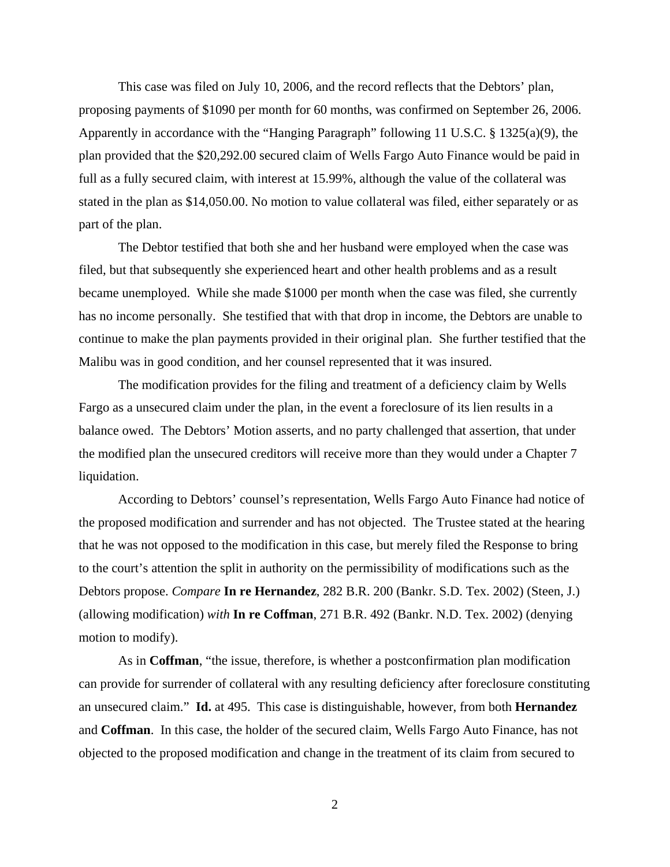This case was filed on July 10, 2006, and the record reflects that the Debtors' plan, proposing payments of \$1090 per month for 60 months, was confirmed on September 26, 2006. Apparently in accordance with the "Hanging Paragraph" following 11 U.S.C. § 1325(a)(9), the plan provided that the \$20,292.00 secured claim of Wells Fargo Auto Finance would be paid in full as a fully secured claim, with interest at 15.99%, although the value of the collateral was stated in the plan as \$14,050.00. No motion to value collateral was filed, either separately or as part of the plan.

The Debtor testified that both she and her husband were employed when the case was filed, but that subsequently she experienced heart and other health problems and as a result became unemployed. While she made \$1000 per month when the case was filed, she currently has no income personally. She testified that with that drop in income, the Debtors are unable to continue to make the plan payments provided in their original plan. She further testified that the Malibu was in good condition, and her counsel represented that it was insured.

The modification provides for the filing and treatment of a deficiency claim by Wells Fargo as a unsecured claim under the plan, in the event a foreclosure of its lien results in a balance owed. The Debtors' Motion asserts, and no party challenged that assertion, that under the modified plan the unsecured creditors will receive more than they would under a Chapter 7 liquidation.

According to Debtors' counsel's representation, Wells Fargo Auto Finance had notice of the proposed modification and surrender and has not objected. The Trustee stated at the hearing that he was not opposed to the modification in this case, but merely filed the Response to bring to the court's attention the split in authority on the permissibility of modifications such as the Debtors propose. *Compare* **In re Hernandez**, 282 B.R. 200 (Bankr. S.D. Tex. 2002) (Steen, J.) (allowing modification) *with* **In re Coffman**, 271 B.R. 492 (Bankr. N.D. Tex. 2002) (denying motion to modify).

As in **Coffman**, "the issue, therefore, is whether a postconfirmation plan modification can provide for surrender of collateral with any resulting deficiency after foreclosure constituting an unsecured claim." **Id.** at 495. This case is distinguishable, however, from both **Hernandez** and **Coffman**. In this case, the holder of the secured claim, Wells Fargo Auto Finance, has not objected to the proposed modification and change in the treatment of its claim from secured to

2